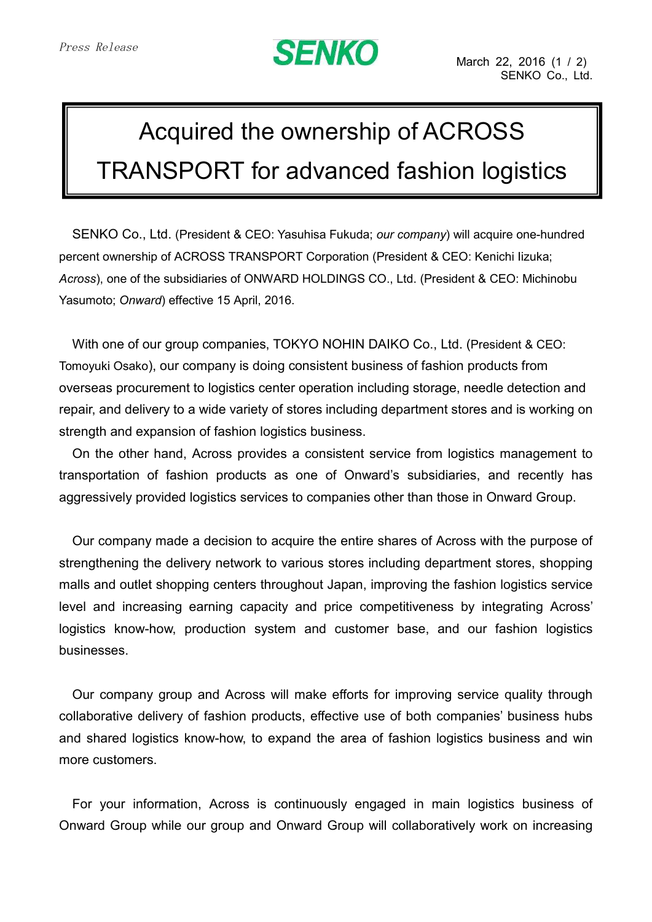## **SENKO**

## Acquired the ownership of ACROSS TRANSPORT for advanced fashion logistics

SENKO Co., Ltd. (President & CEO: Yasuhisa Fukuda; *our company*) will acquire one-hundred percent ownership of ACROSS TRANSPORT Corporation (President & CEO: Kenichi Iizuka; *Across*), one of the subsidiaries of ONWARD HOLDINGS CO., Ltd. (President & CEO: Michinobu Yasumoto; *Onward*) effective 15 April, 2016.

With one of our group companies, TOKYO NOHIN DAIKO Co., Ltd. (President & CEO: Tomoyuki Osako), our company is doing consistent business of fashion products from overseas procurement to logistics center operation including storage, needle detection and repair, and delivery to a wide variety of stores including department stores and is working on strength and expansion of fashion logistics business.

On the other hand, Across provides a consistent service from logistics management to transportation of fashion products as one of Onward's subsidiaries, and recently has aggressively provided logistics services to companies other than those in Onward Group.

Our company made a decision to acquire the entire shares of Across with the purpose of strengthening the delivery network to various stores including department stores, shopping malls and outlet shopping centers throughout Japan, improving the fashion logistics service level and increasing earning capacity and price competitiveness by integrating Across' logistics know-how, production system and customer base, and our fashion logistics businesses.

Our company group and Across will make efforts for improving service quality through collaborative delivery of fashion products, effective use of both companies' business hubs and shared logistics know-how, to expand the area of fashion logistics business and win more customers.

For your information, Across is continuously engaged in main logistics business of Onward Group while our group and Onward Group will collaboratively work on increasing